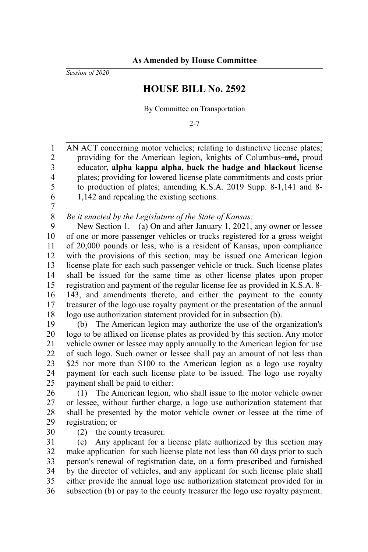*Session of 2020*

## **HOUSE BILL No. 2592**

By Committee on Transportation

2-7

AN ACT concerning motor vehicles; relating to distinctive license plates; providing for the American legion, knights of Columbus-and, proud educator**, alpha kappa alpha, back the badge and blackout** license plates; providing for lowered license plate commitments and costs prior to production of plates; amending K.S.A. 2019 Supp. 8-1,141 and 8- 1,142 and repealing the existing sections. 1 2 3 4 5 6

7

## *Be it enacted by the Legislature of the State of Kansas:* 8

New Section 1. (a) On and after January 1, 2021, any owner or lessee of one or more passenger vehicles or trucks registered for a gross weight of 20,000 pounds or less, who is a resident of Kansas, upon compliance with the provisions of this section, may be issued one American legion license plate for each such passenger vehicle or truck. Such license plates shall be issued for the same time as other license plates upon proper registration and payment of the regular license fee as provided in K.S.A. 8- 143, and amendments thereto, and either the payment to the county treasurer of the logo use royalty payment or the presentation of the annual logo use authorization statement provided for in subsection (b). 9 10 11 12 13 14 15 16 17 18

(b) The American legion may authorize the use of the organization's logo to be affixed on license plates as provided by this section. Any motor vehicle owner or lessee may apply annually to the American legion for use of such logo. Such owner or lessee shall pay an amount of not less than \$25 nor more than \$100 to the American legion as a logo use royalty payment for each such license plate to be issued. The logo use royalty payment shall be paid to either: 19 20 21 22 23 24 25

(1) The American legion, who shall issue to the motor vehicle owner or lessee, without further charge, a logo use authorization statement that shall be presented by the motor vehicle owner or lessee at the time of registration; or 26 27 28 29

(2) the county treasurer. 30

(c) Any applicant for a license plate authorized by this section may make application for such license plate not less than 60 days prior to such person's renewal of registration date, on a form prescribed and furnished by the director of vehicles, and any applicant for such license plate shall either provide the annual logo use authorization statement provided for in subsection (b) or pay to the county treasurer the logo use royalty payment. 31 32 33 34 35 36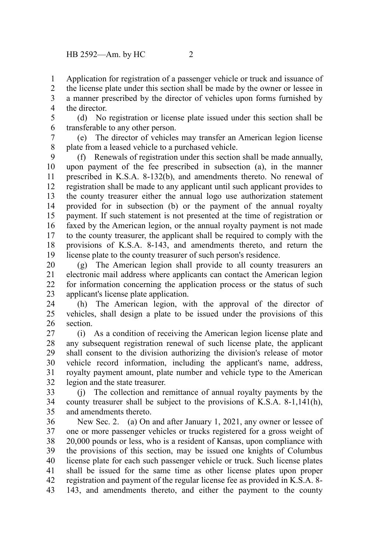Application for registration of a passenger vehicle or truck and issuance of the license plate under this section shall be made by the owner or lessee in a manner prescribed by the director of vehicles upon forms furnished by the director. 1 2 3 4

(d) No registration or license plate issued under this section shall be transferable to any other person. 5 6

(e) The director of vehicles may transfer an American legion license plate from a leased vehicle to a purchased vehicle. 7 8

(f) Renewals of registration under this section shall be made annually, upon payment of the fee prescribed in subsection (a), in the manner prescribed in K.S.A. 8-132(b), and amendments thereto. No renewal of registration shall be made to any applicant until such applicant provides to the county treasurer either the annual logo use authorization statement provided for in subsection (b) or the payment of the annual royalty payment. If such statement is not presented at the time of registration or faxed by the American legion, or the annual royalty payment is not made to the county treasurer, the applicant shall be required to comply with the provisions of K.S.A. 8-143, and amendments thereto, and return the license plate to the county treasurer of such person's residence. 9 10 11 12 13 14 15 16 17 18 19

(g) The American legion shall provide to all county treasurers an electronic mail address where applicants can contact the American legion for information concerning the application process or the status of such applicant's license plate application. 20 21 22 23

(h) The American legion, with the approval of the director of vehicles, shall design a plate to be issued under the provisions of this section. 24 25 26

(i) As a condition of receiving the American legion license plate and any subsequent registration renewal of such license plate, the applicant shall consent to the division authorizing the division's release of motor vehicle record information, including the applicant's name, address, royalty payment amount, plate number and vehicle type to the American legion and the state treasurer. 27 28 29 30 31 32

(j) The collection and remittance of annual royalty payments by the county treasurer shall be subject to the provisions of K.S.A. 8-1,141(h), and amendments thereto. 33 34 35

New Sec. 2. (a) On and after January 1, 2021, any owner or lessee of one or more passenger vehicles or trucks registered for a gross weight of 20,000 pounds or less, who is a resident of Kansas, upon compliance with the provisions of this section, may be issued one knights of Columbus license plate for each such passenger vehicle or truck. Such license plates shall be issued for the same time as other license plates upon proper registration and payment of the regular license fee as provided in K.S.A. 8- 143, and amendments thereto, and either the payment to the county 36 37 38 39 40 41 42 43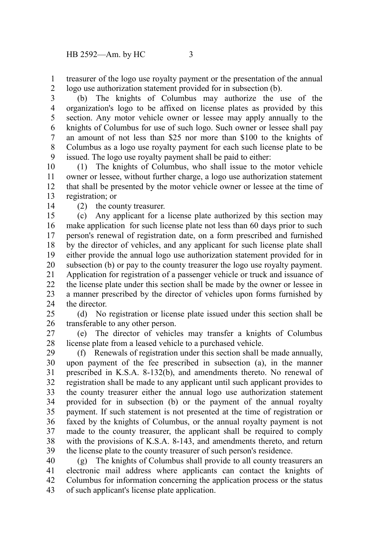treasurer of the logo use royalty payment or the presentation of the annual logo use authorization statement provided for in subsection (b). 1 2

(b) The knights of Columbus may authorize the use of the organization's logo to be affixed on license plates as provided by this section. Any motor vehicle owner or lessee may apply annually to the knights of Columbus for use of such logo. Such owner or lessee shall pay an amount of not less than \$25 nor more than \$100 to the knights of Columbus as a logo use royalty payment for each such license plate to be issued. The logo use royalty payment shall be paid to either: 3 4 5 6 7 8 9

(1) The knights of Columbus, who shall issue to the motor vehicle owner or lessee, without further charge, a logo use authorization statement that shall be presented by the motor vehicle owner or lessee at the time of registration; or 10 11 12 13

14

(2) the county treasurer.

(c) Any applicant for a license plate authorized by this section may make application for such license plate not less than 60 days prior to such person's renewal of registration date, on a form prescribed and furnished by the director of vehicles, and any applicant for such license plate shall either provide the annual logo use authorization statement provided for in subsection (b) or pay to the county treasurer the logo use royalty payment. Application for registration of a passenger vehicle or truck and issuance of the license plate under this section shall be made by the owner or lessee in a manner prescribed by the director of vehicles upon forms furnished by the director. 15 16 17 18 19 20 21 22 23 24

(d) No registration or license plate issued under this section shall be transferable to any other person. 25 26

(e) The director of vehicles may transfer a knights of Columbus license plate from a leased vehicle to a purchased vehicle. 27 28

(f) Renewals of registration under this section shall be made annually, upon payment of the fee prescribed in subsection (a), in the manner prescribed in K.S.A. 8-132(b), and amendments thereto. No renewal of registration shall be made to any applicant until such applicant provides to the county treasurer either the annual logo use authorization statement provided for in subsection (b) or the payment of the annual royalty payment. If such statement is not presented at the time of registration or faxed by the knights of Columbus, or the annual royalty payment is not made to the county treasurer, the applicant shall be required to comply with the provisions of K.S.A. 8-143, and amendments thereto, and return the license plate to the county treasurer of such person's residence. 29 30 31 32 33 34 35 36 37 38 39

(g) The knights of Columbus shall provide to all county treasurers an electronic mail address where applicants can contact the knights of Columbus for information concerning the application process or the status of such applicant's license plate application. 40 41 42 43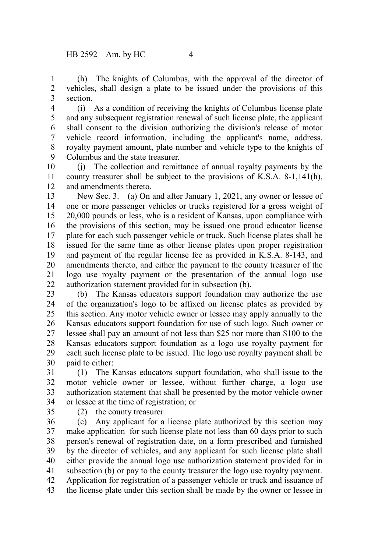(h) The knights of Columbus, with the approval of the director of vehicles, shall design a plate to be issued under the provisions of this section. 1 2 3

(i) As a condition of receiving the knights of Columbus license plate and any subsequent registration renewal of such license plate, the applicant shall consent to the division authorizing the division's release of motor vehicle record information, including the applicant's name, address, royalty payment amount, plate number and vehicle type to the knights of Columbus and the state treasurer. 4 5 6 7 8 9

(j) The collection and remittance of annual royalty payments by the county treasurer shall be subject to the provisions of K.S.A. 8-1,141(h), and amendments thereto. 10 11 12

New Sec. 3. (a) On and after January 1, 2021, any owner or lessee of one or more passenger vehicles or trucks registered for a gross weight of 20,000 pounds or less, who is a resident of Kansas, upon compliance with the provisions of this section, may be issued one proud educator license plate for each such passenger vehicle or truck. Such license plates shall be issued for the same time as other license plates upon proper registration and payment of the regular license fee as provided in K.S.A. 8-143, and amendments thereto, and either the payment to the county treasurer of the logo use royalty payment or the presentation of the annual logo use authorization statement provided for in subsection (b). 13 14 15 16 17 18 19 20 21 22

(b) The Kansas educators support foundation may authorize the use of the organization's logo to be affixed on license plates as provided by this section. Any motor vehicle owner or lessee may apply annually to the Kansas educators support foundation for use of such logo. Such owner or lessee shall pay an amount of not less than \$25 nor more than \$100 to the Kansas educators support foundation as a logo use royalty payment for each such license plate to be issued. The logo use royalty payment shall be paid to either: 23 24 25 26 27 28 29 30

(1) The Kansas educators support foundation, who shall issue to the motor vehicle owner or lessee, without further charge, a logo use authorization statement that shall be presented by the motor vehicle owner or lessee at the time of registration; or 31 32 33 34

35

(2) the county treasurer.

(c) Any applicant for a license plate authorized by this section may make application for such license plate not less than 60 days prior to such person's renewal of registration date, on a form prescribed and furnished by the director of vehicles, and any applicant for such license plate shall either provide the annual logo use authorization statement provided for in subsection (b) or pay to the county treasurer the logo use royalty payment. Application for registration of a passenger vehicle or truck and issuance of the license plate under this section shall be made by the owner or lessee in 36 37 38 39 40 41 42 43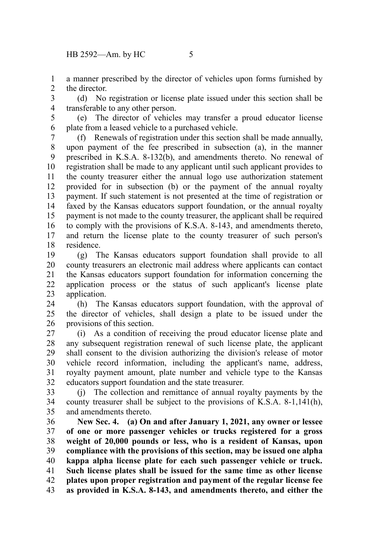a manner prescribed by the director of vehicles upon forms furnished by the director. 1 2

(d) No registration or license plate issued under this section shall be transferable to any other person. 3 4

(e) The director of vehicles may transfer a proud educator license plate from a leased vehicle to a purchased vehicle. 5 6

(f) Renewals of registration under this section shall be made annually, upon payment of the fee prescribed in subsection (a), in the manner prescribed in K.S.A. 8-132(b), and amendments thereto. No renewal of registration shall be made to any applicant until such applicant provides to the county treasurer either the annual logo use authorization statement provided for in subsection (b) or the payment of the annual royalty payment. If such statement is not presented at the time of registration or faxed by the Kansas educators support foundation, or the annual royalty payment is not made to the county treasurer, the applicant shall be required to comply with the provisions of K.S.A. 8-143, and amendments thereto, and return the license plate to the county treasurer of such person's residence. 7 8 9 10 11 12 13 14 15 16 17 18

(g) The Kansas educators support foundation shall provide to all county treasurers an electronic mail address where applicants can contact the Kansas educators support foundation for information concerning the application process or the status of such applicant's license plate application. 19 20 21 22 23

(h) The Kansas educators support foundation, with the approval of the director of vehicles, shall design a plate to be issued under the provisions of this section. 24 25 26

(i) As a condition of receiving the proud educator license plate and any subsequent registration renewal of such license plate, the applicant shall consent to the division authorizing the division's release of motor vehicle record information, including the applicant's name, address, royalty payment amount, plate number and vehicle type to the Kansas educators support foundation and the state treasurer. 27 28 29 30 31 32

(j) The collection and remittance of annual royalty payments by the county treasurer shall be subject to the provisions of K.S.A. 8-1,141(h), and amendments thereto. 33 34 35

**New Sec. 4. (a) On and after January 1, 2021, any owner or lessee of one or more passenger vehicles or trucks registered for a gross weight of 20,000 pounds or less, who is a resident of Kansas, upon compliance with the provisions of this section, may be issued one alpha kappa alpha license plate for each such passenger vehicle or truck. Such license plates shall be issued for the same time as other license plates upon proper registration and payment of the regular license fee as provided in K.S.A. 8-143, and amendments thereto, and either the** 36 37 38 39 40 41 42 43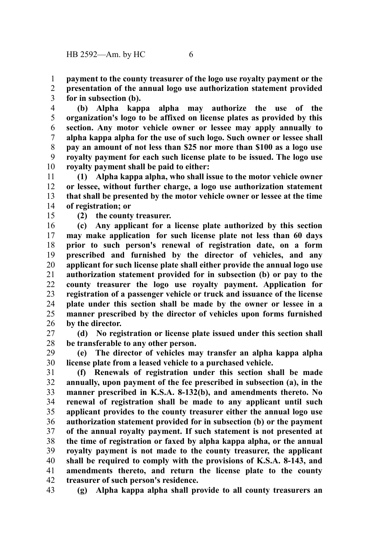**payment to the county treasurer of the logo use royalty payment or the** 1

**presentation of the annual logo use authorization statement provided for in subsection (b).** 2 3

**(b) Alpha kappa alpha may authorize the use of the organization's logo to be affixed on license plates as provided by this section. Any motor vehicle owner or lessee may apply annually to alpha kappa alpha for the use of such logo. Such owner or lessee shall pay an amount of not less than \$25 nor more than \$100 as a logo use royalty payment for each such license plate to be issued. The logo use royalty payment shall be paid to either:** 4 5 6 7 8 9 10

**(1) Alpha kappa alpha, who shall issue to the motor vehicle owner or lessee, without further charge, a logo use authorization statement that shall be presented by the motor vehicle owner or lessee at the time of registration; or** 11 12 13 14

15

**(2) the county treasurer.**

**(c) Any applicant for a license plate authorized by this section may make application for such license plate not less than 60 days prior to such person's renewal of registration date, on a form prescribed and furnished by the director of vehicles, and any applicant for such license plate shall either provide the annual logo use authorization statement provided for in subsection (b) or pay to the county treasurer the logo use royalty payment. Application for registration of a passenger vehicle or truck and issuance of the license plate under this section shall be made by the owner or lessee in a manner prescribed by the director of vehicles upon forms furnished by the director.** 16 17 18 19 20 21 22 23 24 25 26

**(d) No registration or license plate issued under this section shall be transferable to any other person.** 27 28

**(e) The director of vehicles may transfer an alpha kappa alpha license plate from a leased vehicle to a purchased vehicle.** 29 30

**(f) Renewals of registration under this section shall be made annually, upon payment of the fee prescribed in subsection (a), in the manner prescribed in K.S.A. 8-132(b), and amendments thereto. No renewal of registration shall be made to any applicant until such applicant provides to the county treasurer either the annual logo use authorization statement provided for in subsection (b) or the payment of the annual royalty payment. If such statement is not presented at the time of registration or faxed by alpha kappa alpha, or the annual royalty payment is not made to the county treasurer, the applicant shall be required to comply with the provisions of K.S.A. 8-143, and amendments thereto, and return the license plate to the county treasurer of such person's residence.** 31 32 33 34 35 36 37 38 39 40 41 42

**(g) Alpha kappa alpha shall provide to all county treasurers an** 43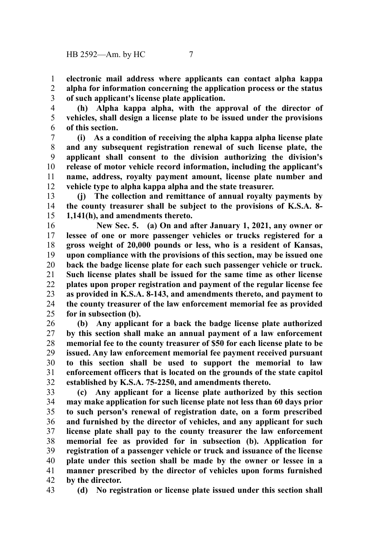**electronic mail address where applicants can contact alpha kappa alpha for information concerning the application process or the status of such applicant's license plate application.** 1 2 3

**(h) Alpha kappa alpha, with the approval of the director of vehicles, shall design a license plate to be issued under the provisions of this section.** 4 5 6

**(i) As a condition of receiving the alpha kappa alpha license plate and any subsequent registration renewal of such license plate, the applicant shall consent to the division authorizing the division's release of motor vehicle record information, including the applicant's name, address, royalty payment amount, license plate number and vehicle type to alpha kappa alpha and the state treasurer.** 7 8 9 10 11 12

**(j) The collection and remittance of annual royalty payments by the county treasurer shall be subject to the provisions of K.S.A. 8- 1,141(h), and amendments thereto.** 13 14 15

**New Sec. 5. (a) On and after January 1, 2021, any owner or lessee of one or more passenger vehicles or trucks registered for a gross weight of 20,000 pounds or less, who is a resident of Kansas, upon compliance with the provisions of this section, may be issued one back the badge license plate for each such passenger vehicle or truck. Such license plates shall be issued for the same time as other license plates upon proper registration and payment of the regular license fee as provided in K.S.A. 8-143, and amendments thereto, and payment to the county treasurer of the law enforcement memorial fee as provided for in subsection (b).**  16 17 18 19 20 21 22 23 24 25

**(b) Any applicant for a back the badge license plate authorized by this section shall make an annual payment of a law enforcement memorial fee to the county treasurer of \$50 for each license plate to be issued. Any law enforcement memorial fee payment received pursuant to this section shall be used to support the memorial to law enforcement officers that is located on the grounds of the state capitol established by K.S.A. 75-2250, and amendments thereto.**  26 27 28 29 30 31 32

**(c) Any applicant for a license plate authorized by this section may make application for such license plate not less than 60 days prior to such person's renewal of registration date, on a form prescribed and furnished by the director of vehicles, and any applicant for such license plate shall pay to the county treasurer the law enforcement memorial fee as provided for in subsection (b). Application for registration of a passenger vehicle or truck and issuance of the license plate under this section shall be made by the owner or lessee in a manner prescribed by the director of vehicles upon forms furnished by the director.**  33 34 35 36 37 38 39 40 41 42

43

**(d) No registration or license plate issued under this section shall**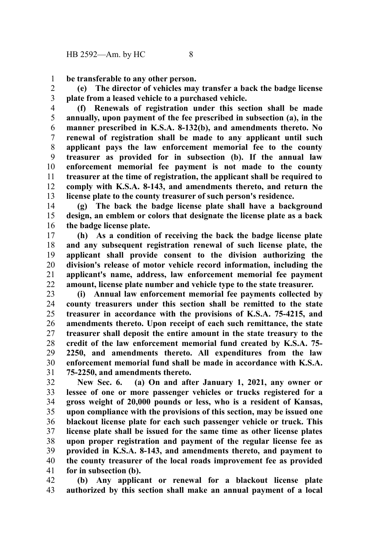**be transferable to any other person.**  1

**(e) The director of vehicles may transfer a back the badge license plate from a leased vehicle to a purchased vehicle.**  2 3

**(f) Renewals of registration under this section shall be made annually, upon payment of the fee prescribed in subsection (a), in the manner prescribed in K.S.A. 8-132(b), and amendments thereto. No renewal of registration shall be made to any applicant until such applicant pays the law enforcement memorial fee to the county treasurer as provided for in subsection (b). If the annual law enforcement memorial fee payment is not made to the county treasurer at the time of registration, the applicant shall be required to comply with K.S.A. 8-143, and amendments thereto, and return the license plate to the county treasurer of such person's residence.**  4 5 6 7 8 9 10 11 12 13

**(g) The back the badge license plate shall have a background design, an emblem or colors that designate the license plate as a back the badge license plate.**  14 15 16

**(h) As a condition of receiving the back the badge license plate and any subsequent registration renewal of such license plate, the applicant shall provide consent to the division authorizing the division's release of motor vehicle record information, including the applicant's name, address, law enforcement memorial fee payment amount, license plate number and vehicle type to the state treasurer.**  17 18 19 20 21 22

**(i) Annual law enforcement memorial fee payments collected by county treasurers under this section shall be remitted to the state treasurer in accordance with the provisions of K.S.A. 75-4215, and amendments thereto. Upon receipt of each such remittance, the state treasurer shall deposit the entire amount in the state treasury to the credit of the law enforcement memorial fund created by K.S.A. 75- 2250, and amendments thereto. All expenditures from the law enforcement memorial fund shall be made in accordance with K.S.A. 75-2250, and amendments thereto.** 23 24 25 26 27 28 29 30 31

**New Sec. 6. (a) On and after January 1, 2021, any owner or lessee of one or more passenger vehicles or trucks registered for a gross weight of 20,000 pounds or less, who is a resident of Kansas, upon compliance with the provisions of this section, may be issued one blackout license plate for each such passenger vehicle or truck. This license plate shall be issued for the same time as other license plates upon proper registration and payment of the regular license fee as provided in K.S.A. 8-143, and amendments thereto, and payment to the county treasurer of the local roads improvement fee as provided for in subsection (b).**  32 33 34 35 36 37 38 39 40 41

**(b) Any applicant or renewal for a blackout license plate authorized by this section shall make an annual payment of a local** 42 43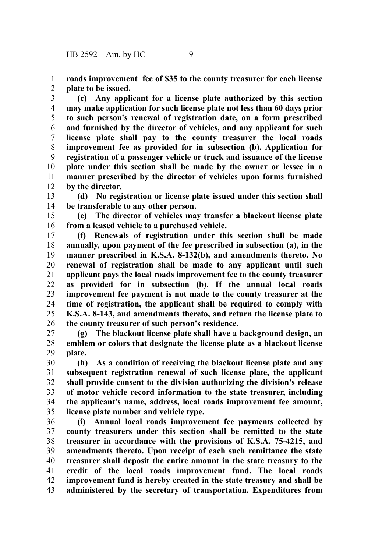**roads improvement fee of \$35 to the county treasurer for each license plate to be issued.**  1 2

**(c) Any applicant for a license plate authorized by this section may make application for such license plate not less than 60 days prior to such person's renewal of registration date, on a form prescribed and furnished by the director of vehicles, and any applicant for such license plate shall pay to the county treasurer the local roads improvement fee as provided for in subsection (b). Application for registration of a passenger vehicle or truck and issuance of the license plate under this section shall be made by the owner or lessee in a manner prescribed by the director of vehicles upon forms furnished by the director.**  3 4 5 6 7 8 9 10 11 12

**(d) No registration or license plate issued under this section shall be transferable to any other person.**  13 14

**(e) The director of vehicles may transfer a blackout license plate from a leased vehicle to a purchased vehicle.**  15 16

**(f) Renewals of registration under this section shall be made annually, upon payment of the fee prescribed in subsection (a), in the manner prescribed in K.S.A. 8-132(b), and amendments thereto. No renewal of registration shall be made to any applicant until such applicant pays the local roads improvement fee to the county treasurer as provided for in subsection (b). If the annual local roads improvement fee payment is not made to the county treasurer at the time of registration, the applicant shall be required to comply with K.S.A. 8-143, and amendments thereto, and return the license plate to the county treasurer of such person's residence.**  17 18 19 20 21 22 23 24 25 26

**(g) The blackout license plate shall have a background design, an emblem or colors that designate the license plate as a blackout license plate.**  27 28 29

**(h) As a condition of receiving the blackout license plate and any subsequent registration renewal of such license plate, the applicant shall provide consent to the division authorizing the division's release of motor vehicle record information to the state treasurer, including the applicant's name, address, local roads improvement fee amount, license plate number and vehicle type.**  30 31 32 33 34 35

**(i) Annual local roads improvement fee payments collected by county treasurers under this section shall be remitted to the state treasurer in accordance with the provisions of K.S.A. 75-4215, and amendments thereto. Upon receipt of each such remittance the state treasurer shall deposit the entire amount in the state treasury to the credit of the local roads improvement fund. The local roads improvement fund is hereby created in the state treasury and shall be administered by the secretary of transportation. Expenditures from** 36 37 38 39 40 41 42 43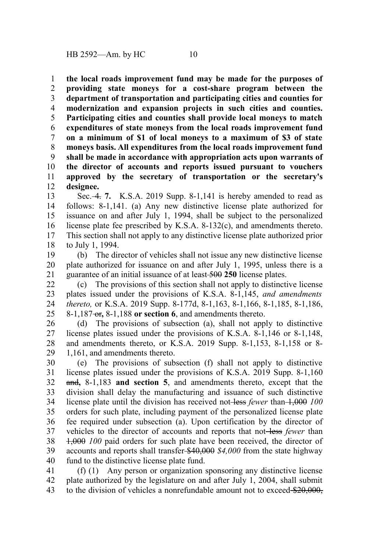**the local roads improvement fund may be made for the purposes of providing state moneys for a cost-share program between the department of transportation and participating cities and counties for modernization and expansion projects in such cities and counties. Participating cities and counties shall provide local moneys to match expenditures of state moneys from the local roads improvement fund on a minimum of \$1 of local moneys to a maximum of \$3 of state moneys basis. All expenditures from the local roads improvement fund shall be made in accordance with appropriation acts upon warrants of the director of accounts and reports issued pursuant to vouchers approved by the secretary of transportation or the secretary's designee.** 1 2 3 4 5 6 7 8 9 10 11 12

Sec. 4. **7.** K.S.A. 2019 Supp. 8-1,141 is hereby amended to read as follows: 8-1,141. (a) Any new distinctive license plate authorized for issuance on and after July 1, 1994, shall be subject to the personalized license plate fee prescribed by K.S.A. 8-132(c), and amendments thereto. This section shall not apply to any distinctive license plate authorized prior to July 1, 1994. 13 14 15 16 17 18

(b) The director of vehicles shall not issue any new distinctive license plate authorized for issuance on and after July 1, 1995, unless there is a guarantee of an initial issuance of at least 500 **250** license plates. 19 20 21

(c) The provisions of this section shall not apply to distinctive license plates issued under the provisions of K.S.A. 8-1,145, *and amendments thereto,* or K.S.A. 2019 Supp. 8-177d, 8-1,163, 8-1,166, 8-1,185, 8-1,186, 8-1,187 or**,** 8-1,188 **or section 6**, and amendments thereto. 22 23 24 25

(d) The provisions of subsection (a), shall not apply to distinctive license plates issued under the provisions of K.S.A. 8-1,146 or 8-1,148, and amendments thereto, or K.S.A. 2019 Supp. 8-1,153, 8-1,158 or 8- 1,161, and amendments thereto. 26 27 28 29

(e) The provisions of subsection (f) shall not apply to distinctive license plates issued under the provisions of K.S.A. 2019 Supp. 8-1,160 and**,** 8-1,183 **and section 5**, and amendments thereto, except that the division shall delay the manufacturing and issuance of such distinctive license plate until the division has received not-less *fewer* than  $\left(-1,000\right)$  *100* orders for such plate, including payment of the personalized license plate fee required under subsection (a). Upon certification by the director of vehicles to the director of accounts and reports that not-less *fewer* than 1,000 *100* paid orders for such plate have been received, the director of accounts and reports shall transfer \$40,000 *\$4,000* from the state highway fund to the distinctive license plate fund. 30 31 32 33 34 35 36 37 38 39 40

(f) (1) Any person or organization sponsoring any distinctive license plate authorized by the legislature on and after July 1, 2004, shall submit to the division of vehicles a nonrefundable amount not to exceed \$20,000, 41 42 43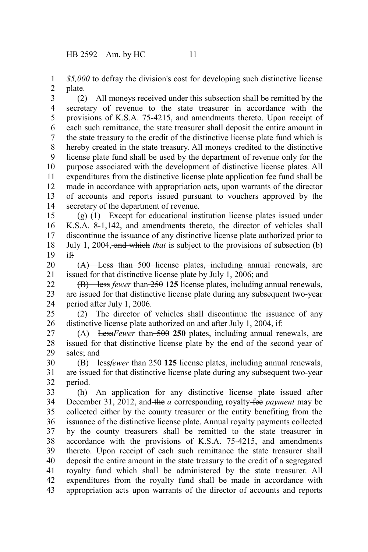*\$5,000* to defray the division's cost for developing such distinctive license plate. 1 2

(2) All moneys received under this subsection shall be remitted by the secretary of revenue to the state treasurer in accordance with the provisions of K.S.A. 75-4215, and amendments thereto. Upon receipt of each such remittance, the state treasurer shall deposit the entire amount in the state treasury to the credit of the distinctive license plate fund which is hereby created in the state treasury. All moneys credited to the distinctive license plate fund shall be used by the department of revenue only for the purpose associated with the development of distinctive license plates. All expenditures from the distinctive license plate application fee fund shall be made in accordance with appropriation acts, upon warrants of the director of accounts and reports issued pursuant to vouchers approved by the secretary of the department of revenue. 3 4 5 6 7 8 9 10 11 12 13 14

(g) (1) Except for educational institution license plates issued under K.S.A. 8-1,142, and amendments thereto, the director of vehicles shall discontinue the issuance of any distinctive license plate authorized prior to July 1, 2004, and which *that* is subject to the provisions of subsection (b) if: 15 16 17 18 19

(A) Less than 500 license plates, including annual renewals, are issued for that distinctive license plate by July 1, 2006; and 20 21

(B) less *fewer* than 250 **125** license plates, including annual renewals, are issued for that distinctive license plate during any subsequent two-year period after July 1, 2006. 22 23 24

(2) The director of vehicles shall discontinue the issuance of any distinctive license plate authorized on and after July 1, 2004, if: 25 26

(A) Less*Fewer* than 500 **250** plates, including annual renewals, are issued for that distinctive license plate by the end of the second year of sales; and 27 28 29

(B) less*fewer* than 250 **125** license plates, including annual renewals, are issued for that distinctive license plate during any subsequent two-year period. 30 31 32

(h) An application for any distinctive license plate issued after December 31, 2012, and the *a* corresponding royalty fee *payment* may be collected either by the county treasurer or the entity benefiting from the issuance of the distinctive license plate. Annual royalty payments collected by the county treasurers shall be remitted to the state treasurer in accordance with the provisions of K.S.A. 75-4215, and amendments thereto. Upon receipt of each such remittance the state treasurer shall deposit the entire amount in the state treasury to the credit of a segregated royalty fund which shall be administered by the state treasurer. All expenditures from the royalty fund shall be made in accordance with appropriation acts upon warrants of the director of accounts and reports 33 34 35 36 37 38 39 40 41 42 43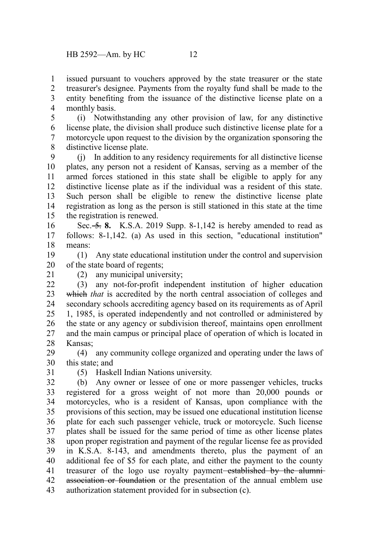issued pursuant to vouchers approved by the state treasurer or the state treasurer's designee. Payments from the royalty fund shall be made to the entity benefiting from the issuance of the distinctive license plate on a monthly basis. 1 2 3 4

(i) Notwithstanding any other provision of law, for any distinctive license plate, the division shall produce such distinctive license plate for a motorcycle upon request to the division by the organization sponsoring the distinctive license plate. 5 6 7 8

(j) In addition to any residency requirements for all distinctive license plates, any person not a resident of Kansas, serving as a member of the armed forces stationed in this state shall be eligible to apply for any distinctive license plate as if the individual was a resident of this state. Such person shall be eligible to renew the distinctive license plate registration as long as the person is still stationed in this state at the time the registration is renewed. 9 10 11 12 13 14 15

Sec. 5. **8.** K.S.A. 2019 Supp. 8-1,142 is hereby amended to read as follows: 8-1,142. (a) As used in this section, "educational institution" means: 16 17 18

(1) Any state educational institution under the control and supervision of the state board of regents; 19 20

21

(2) any municipal university;

(3) any not-for-profit independent institution of higher education which *that* is accredited by the north central association of colleges and secondary schools accrediting agency based on its requirements as of April 1, 1985, is operated independently and not controlled or administered by the state or any agency or subdivision thereof, maintains open enrollment and the main campus or principal place of operation of which is located in Kansas;  $22$ 23 24 25 26 27 28

(4) any community college organized and operating under the laws of this state; and 29 30

31

(5) Haskell Indian Nations university.

(b) Any owner or lessee of one or more passenger vehicles, trucks registered for a gross weight of not more than 20,000 pounds or motorcycles, who is a resident of Kansas, upon compliance with the provisions of this section, may be issued one educational institution license plate for each such passenger vehicle, truck or motorcycle. Such license plates shall be issued for the same period of time as other license plates upon proper registration and payment of the regular license fee as provided in K.S.A. 8-143, and amendments thereto, plus the payment of an additional fee of \$5 for each plate, and either the payment to the county treasurer of the logo use royalty payment-established by the alumniassociation or foundation or the presentation of the annual emblem use authorization statement provided for in subsection (c). 32 33 34 35 36 37 38 39 40 41 42 43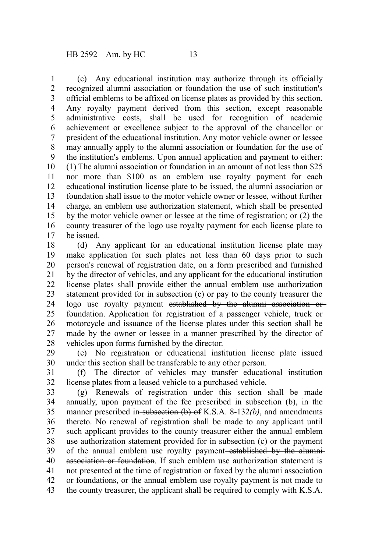(c) Any educational institution may authorize through its officially recognized alumni association or foundation the use of such institution's official emblems to be affixed on license plates as provided by this section. Any royalty payment derived from this section, except reasonable administrative costs, shall be used for recognition of academic achievement or excellence subject to the approval of the chancellor or president of the educational institution. Any motor vehicle owner or lessee may annually apply to the alumni association or foundation for the use of the institution's emblems. Upon annual application and payment to either: (1) The alumni association or foundation in an amount of not less than \$25 nor more than \$100 as an emblem use royalty payment for each educational institution license plate to be issued, the alumni association or foundation shall issue to the motor vehicle owner or lessee, without further charge, an emblem use authorization statement, which shall be presented by the motor vehicle owner or lessee at the time of registration; or (2) the county treasurer of the logo use royalty payment for each license plate to be issued. 1 2 3 4 5 6 7 8 9 10 11 12 13 14 15 16 17

(d) Any applicant for an educational institution license plate may make application for such plates not less than 60 days prior to such person's renewal of registration date, on a form prescribed and furnished by the director of vehicles, and any applicant for the educational institution license plates shall provide either the annual emblem use authorization statement provided for in subsection (c) or pay to the county treasurer the logo use royalty payment established by the alumni association or foundation. Application for registration of a passenger vehicle, truck or motorcycle and issuance of the license plates under this section shall be made by the owner or lessee in a manner prescribed by the director of vehicles upon forms furnished by the director. 18 19 20 21 22 23 24 25 26 27 28

(e) No registration or educational institution license plate issued under this section shall be transferable to any other person. 29 30

(f) The director of vehicles may transfer educational institution license plates from a leased vehicle to a purchased vehicle. 31 32

(g) Renewals of registration under this section shall be made annually, upon payment of the fee prescribed in subsection (b), in the manner prescribed in subsection (b) of K.S.A. 8-132*(b)*, and amendments thereto. No renewal of registration shall be made to any applicant until such applicant provides to the county treasurer either the annual emblem use authorization statement provided for in subsection (c) or the payment of the annual emblem use royalty payment established by the alumniassociation or foundation. If such emblem use authorization statement is not presented at the time of registration or faxed by the alumni association or foundations, or the annual emblem use royalty payment is not made to the county treasurer, the applicant shall be required to comply with K.S.A. 33 34 35 36 37 38 39 40 41 42 43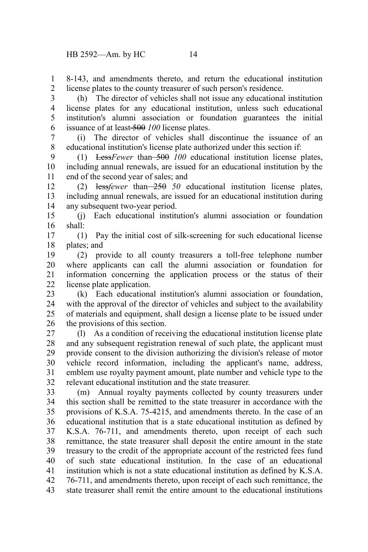8-143, and amendments thereto, and return the educational institution license plates to the county treasurer of such person's residence. 1 2

(h) The director of vehicles shall not issue any educational institution license plates for any educational institution, unless such educational institution's alumni association or foundation guarantees the initial issuance of at least 500 *100* license plates. 3 4 5 6

(i) The director of vehicles shall discontinue the issuance of an educational institution's license plate authorized under this section if: 7 8

(1) Less*Fewer* than 500 *100* educational institution license plates, including annual renewals, are issued for an educational institution by the end of the second year of sales; and 9 10 11

(2) less fewer than 250 50 educational institution license plates, including annual renewals, are issued for an educational institution during any subsequent two-year period. 12 13 14

(j) Each educational institution's alumni association or foundation shall: 15 16

(1) Pay the initial cost of silk-screening for such educational license plates; and 17 18

(2) provide to all county treasurers a toll-free telephone number where applicants can call the alumni association or foundation for information concerning the application process or the status of their license plate application. 19 20 21 22

(k) Each educational institution's alumni association or foundation, with the approval of the director of vehicles and subject to the availability of materials and equipment, shall design a license plate to be issued under the provisions of this section. 23 24 25 26

(l) As a condition of receiving the educational institution license plate and any subsequent registration renewal of such plate, the applicant must provide consent to the division authorizing the division's release of motor vehicle record information, including the applicant's name, address, emblem use royalty payment amount, plate number and vehicle type to the relevant educational institution and the state treasurer. 27 28 29 30 31 32

(m) Annual royalty payments collected by county treasurers under this section shall be remitted to the state treasurer in accordance with the provisions of K.S.A. 75-4215, and amendments thereto. In the case of an educational institution that is a state educational institution as defined by K.S.A. 76-711, and amendments thereto, upon receipt of each such remittance, the state treasurer shall deposit the entire amount in the state treasury to the credit of the appropriate account of the restricted fees fund of such state educational institution. In the case of an educational institution which is not a state educational institution as defined by K.S.A. 76-711, and amendments thereto, upon receipt of each such remittance, the state treasurer shall remit the entire amount to the educational institutions 33 34 35 36 37 38 39 40 41 42 43